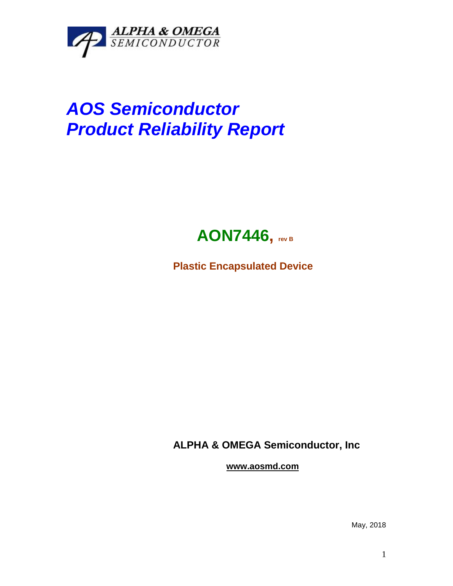

## *AOS Semiconductor Product Reliability Report*



**Plastic Encapsulated Device**

**ALPHA & OMEGA Semiconductor, Inc**

**www.aosmd.com**

May, 2018